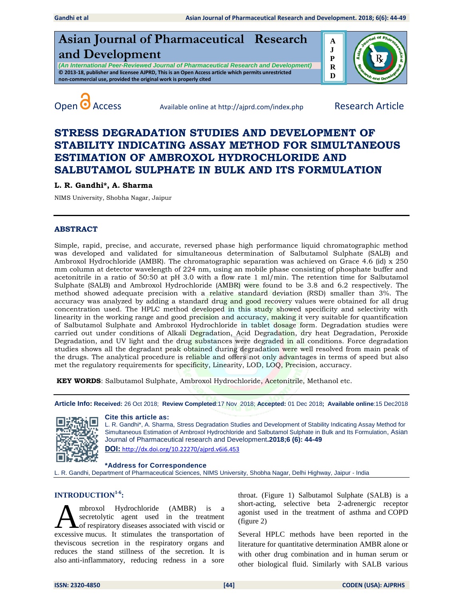





Open **O** Access Available online at http://ajprd.com/index.php Research Article

# **STRESS DEGRADATION STUDIES AND DEVELOPMENT OF STABILITY INDICATING ASSAY METHOD FOR SIMULTANEOUS ESTIMATION OF AMBROXOL HYDROCHLORIDE AND SALBUTAMOL SULPHATE IN BULK AND ITS FORMULATION**

# **L. R. Gandhi\*, A. Sharma**

NIMS University, Shobha Nagar, Jaipur

## **ABSTRACT**

Simple, rapid, precise, and accurate, reversed phase high performance liquid chromatographic method was developed and validated for simultaneous determination of Salbutamol Sulphate (SALB) and Ambroxol Hydrochloride (AMBR). The chromatographic separation was achieved on Grace 4.6 (id) x 250 mm column at detector wavelength of 224 nm, using an mobile phase consisting of phosphate buffer and acetonitrile in a ratio of 50:50 at pH 3.0 with a flow rate 1 ml/min. The retention time for Salbutamol Sulphate (SALB) and Ambroxol Hydrochloride (AMBR) were found to be 3.8 and 6.2 respectively. The method showed adequate precision with a relative standard deviation (RSD) smaller than 3%. The accuracy was analyzed by adding a standard drug and good recovery values were obtained for all drug concentration used. The HPLC method developed in this study showed specificity and selectivity with linearity in the working range and good precision and accuracy, making it very suitable for quantification of Salbutamol Sulphate and Ambroxol Hydrochloride in tablet dosage form. Degradation studies were carried out under conditions of Alkali Degradation, Acid Degradation, dry heat Degradation, Peroxide Degradation, and UV light and the drug substances were degraded in all conditions. Force degradation studies shows all the degradant peak obtained during degradation were well resolved from main peak of the drugs. The analytical procedure is reliable and offers not only advantages in terms of speed but also met the regulatory requirements for specificity, Linearity, LOD, LOQ, Precision, accuracy.

**KEY WORDS**: Salbutamol Sulphate, Ambroxol Hydrochloride, Acetonitrile, Methanol etc.

**Article Info: Received:** 26 Oct 2018; **Review Completed**:17 Nov 2018; **Accepted:** 01 Dec 2018**; Available online**:15 Dec2018



#### **Cite this article as:**

L. R. Gandhi\*, A. Sharma, Stress Degradation Studies and Development of Stability Indicating Assay Method for Simultaneous Estimation of Ambroxol Hydrochloride and Salbutamol Sulphate in Bulk and Its Formulation, Asian Journal of Pharmaceutical research and Development**.2018;6 (6): 44-49 DOI:** [http://dx.doi.org/10.22270/ajprd.v6i6.](http://dx.doi.org/10.22270/ajprd.v6i6.453)453

## **\*Address for Correspondence**

L. R. Gandhi, Department of Pharmaceutical Sciences, NIMS University, Shobha Nagar, Delhi Highway, Jaipur - India

# **INTRODUCTION1-6 :**

mbroxol Hydrochloride (AMBR) is a secretolytic agent used in the treatment **L** of respiratory diseases associated with viscid or **EXECUTE:** Moreovelland Marketter (AMBR) is a secretolytic agent used in the treatment of respiratory diseases associated with viscid or excessive mucus. It stimulates the transportation of theviscous secretion in the respiratory organs and reduces the stand stillness of the secretion. It is also anti-inflammatory, reducing redness in a sore

throat. (Figure 1) Salbutamol Sulphate (SALB) is a short-acting, selective beta 2-adrenergic receptor agonist used in the treatment of asthma and COPD (figure 2)

Several HPLC methods have been reported in the literature for quantitative determination AMBR alone or with other drug combination and in human serum or other biological fluid. Similarly with SALB various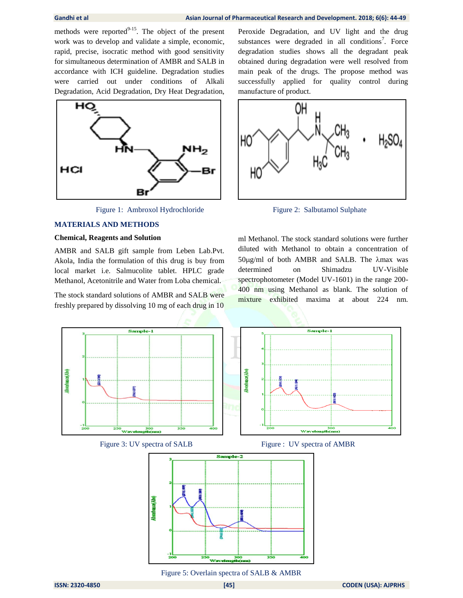methods were reported $^{9-15}$ . The object of the present work was to develop and validate a simple, economic, rapid, precise, isocratic method with good sensitivity for simultaneous determination of AMBR and SALB in accordance with ICH guideline. Degradation studies were carried out under conditions of Alkali Degradation, Acid Degradation, Dry Heat Degradation,



Figure 1: Ambroxol Hydrochloride Figure 2: Salbutamol Sulphate

## **MATERIALS AND METHODS**

### **Chemical, Reagents and Solution**

AMBR and SALB gift sample from Leben Lab.Pvt. Akola, India the formulation of this drug is buy from local market i.e. Salmucolite tablet. HPLC grade Methanol, Acetonitrile and Water from Loba chemical.

The stock standard solutions of AMBR and SALB were freshly prepared by dissolving 10 mg of each drug in 10 Peroxide Degradation, and UV light and the drug substances were degraded in all conditions<sup>7</sup>. Force degradation studies shows all the degradant peak obtained during degradation were well resolved from main peak of the drugs. The propose method was successfully applied for quality control during manufacture of product.



ml Methanol. The stock standard solutions were further diluted with Methanol to obtain a concentration of  $50\mu g/ml$  of both AMBR and SALB. The  $\lambda$ max was determined on Shimadzu UV-Visible spectrophotometer (Model UV-1601) in the range 200- 400 nm using Methanol as blank. The solution of mixture exhibited maxima at about 224 nm.



Figure 5: Overlain spectra of SALB & AMBR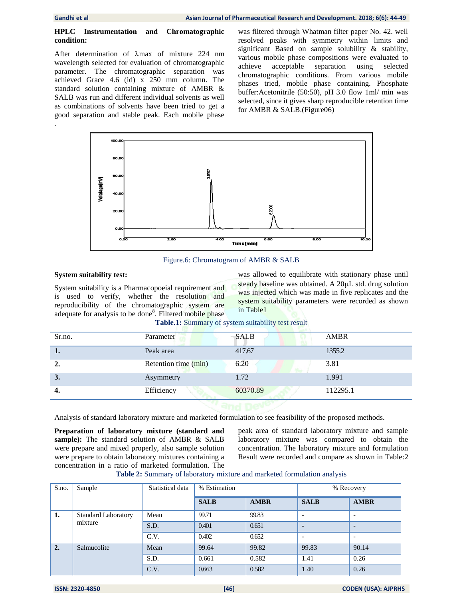## **HPLC Instrumentation and Chromatographic condition:**

After determination of  $\lambda$ max of mixture 224 nm wavelength selected for evaluation of chromatographic parameter. The chromatographic separation was achieved Grace 4.6 (id) x 250 mm column. The standard solution containing mixture of AMBR & SALB was run and different individual solvents as well as combinations of solvents have been tried to get a good separation and stable peak. Each mobile phase .

was filtered through Whatman filter paper No. 42. well resolved peaks with symmetry within limits and significant Based on sample solubility & stability, various mobile phase compositions were evaluated to achieve acceptable separation using selected chromatographic conditions. From various mobile phases tried, mobile phase containing. Phosphate buffer:Acetonitrile (50:50), pH 3.0 flow 1ml/ min was selected, since it gives sharp reproducible retention time for AMBR & SALB.(Figure06)



Figure.6: Chromatogram of AMBR & SALB

# **System suitability test:**

System suitability is a Pharmacopoeial requirement and is used to verify, whether the resolution and reproducibility of the chromatographic system are adequate for analysis to be done<sup>8</sup>. Filtered mobile phase was allowed to equilibrate with stationary phase until steady baseline was obtained. A  $20\mu L$  std. drug solution was injected which was made in five replicates and the system suitability parameters were recorded as shown in Table1

| Sr.no. | Parameter            | <b>SALB</b>                 | <b>AMBR</b> |
|--------|----------------------|-----------------------------|-------------|
| 1.     | Peak area            | 417.67                      | 1355.2      |
| 2.     | Retention time (min) | 6.20<br><b>Registration</b> | 3.81        |
| 3.     | Asymmetry            | 1.72                        | 1.991       |
| -4.    | Efficiency           | 60370.89                    | 112295.1    |

**Table.1:** Summary of system suitability test result

Analysis of standard laboratory mixture and marketed formulation to see feasibility of the proposed methods.

**Preparation of laboratory mixture (standard and sample):** The standard solution of AMBR & SALB were prepare and mixed properly, also sample solution were prepare to obtain laboratory mixtures containing a concentration in a ratio of marketed formulation. The peak area of standard laboratory mixture and sample laboratory mixture was compared to obtain the concentration. The laboratory mixture and formulation Result were recorded and compare as shown in Table:2

## **Table 2:** Summary of laboratory mixture and marketed formulation analysis

| S.no.   | Sample                     | Statistical data | % Estimation |             | % Recovery               |                          |
|---------|----------------------------|------------------|--------------|-------------|--------------------------|--------------------------|
|         |                            |                  | <b>SALB</b>  | <b>AMBR</b> | <b>SALB</b>              | <b>AMBR</b>              |
| 1.      | <b>Standard Laboratory</b> | Mean             | 99.71        | 99.83       |                          |                          |
| mixture |                            | S.D.             | 0.401        | 0.651       | $\overline{\phantom{0}}$ | $\overline{\phantom{0}}$ |
|         | C.V.                       | 0.402            | 0.652        |             |                          |                          |
| 2.      | Salmucolite                | Mean             | 99.64        | 99.82       | 99.83                    | 90.14                    |
|         |                            | S.D.             | 0.661        | 0.582       | 1.41                     | 0.26                     |
|         |                            | C.V.             | 0.663        | 0.582       | 1.40                     | 0.26                     |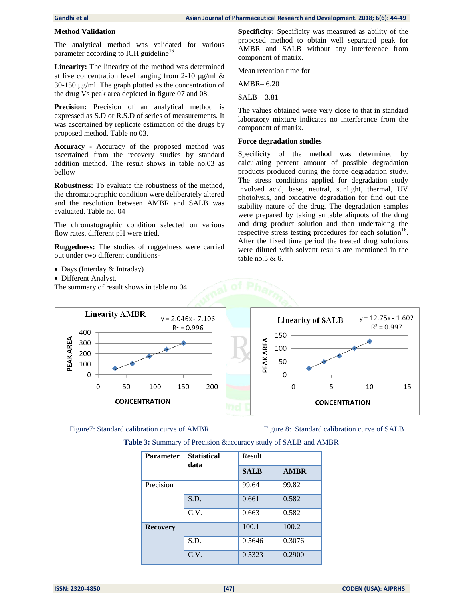## **Method Validation**

The analytical method was validated for various parameter according to ICH guideline<sup>16</sup>

**Linearity:** The linearity of the method was determined at five concentration level ranging from 2-10  $\mu$ g/ml &  $30-150 \mu g/ml$ . The graph plotted as the concentration of the drug Vs peak area depicted in figure 07 and 08.

Precision: Precision of an analytical method is expressed as S.D or R.S.D of series of measurements. It was ascertained by replicate estimation of the drugs by proposed method. Table no 03.

**Accuracy -** Accuracy of the proposed method was ascertained from the recovery studies by standard addition method. The result shows in table no.03 as bellow

**Robustness:** To evaluate the robustness of the method, the chromatographic condition were deliberately altered and the resolution between AMBR and SALB was evaluated. Table no. 04

The chromatographic condition selected on various flow rates, different pH were tried.

**Ruggedness:** The studies of ruggedness were carried out under two different conditions-

- Days (Interday & Intraday)
- Different Analyst.

The summary of result shows in table no 04.

**Specificity:** Specificity was measured as ability of the proposed method to obtain well separated peak for AMBR and SALB without any interference from component of matrix.

Mean retention time for

AMBR– 6.20

SALB – 3.81

The values obtained were very close to that in standard laboratory mixture indicates no interference from the component of matrix.

## **Force degradation studies**

Specificity of the method was determined by calculating percent amount of possible degradation products produced during the force degradation study. The stress conditions applied for degradation study involved acid, base, neutral, sunlight, thermal, UV photolysis, and oxidative degradation for find out the stability nature of the drug. The degradation samples were prepared by taking suitable aliquots of the drug and drug product solution and then undertaking the respective stress testing procedures for each solution<sup>16</sup>. After the fixed time period the treated drug solutions were diluted with solvent results are mentioned in the table no.5 & 6.





Figure7: Standard calibration curve of AMBR Figure 8: Standard calibration curve of SALB

| <b>Parameter</b><br>data | <b>Statistical</b> | Result      |             |  |
|--------------------------|--------------------|-------------|-------------|--|
|                          |                    | <b>SALB</b> | <b>AMBR</b> |  |
| Precision                |                    | 99.64       | 99.82       |  |
|                          | S.D.               | 0.661       | 0.582       |  |
|                          | C.V.               | 0.663       | 0.582       |  |
| <b>Recovery</b>          |                    | 100.1       | 100.2       |  |
|                          | S.D.               | 0.5646      | 0.3076      |  |
|                          | C.V.               | 0.5323      | 0.2900      |  |

**Table 3:** Summary of Precision &accuracy study of SALB and AMBR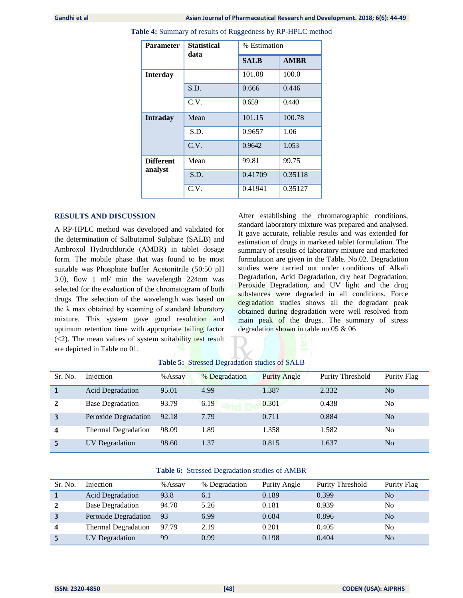| <b>Parameter</b> | <b>Statistical</b><br>data | % Estimation |             |  |
|------------------|----------------------------|--------------|-------------|--|
|                  |                            | <b>SALB</b>  | <b>AMBR</b> |  |
| <b>Interday</b>  |                            | 101.08       | 100.0       |  |
|                  | S.D.                       | 0.666        | 0.446       |  |
|                  | C.V.                       | 0.659        | 0.440       |  |
| <b>Intraday</b>  | Mean                       | 101.15       | 100.78      |  |
|                  | S.D.                       | 0.9657       | 1.06        |  |
|                  | C.V.                       | 0.9642       | 1.053       |  |
| <b>Different</b> | Mean                       | 99.81        | 99.75       |  |
| analyst          | S.D.                       | 0.41709      | 0.35118     |  |
|                  | C.V.                       | 0.41941      | 0.35127     |  |

**Table 4:** Summary of results of Ruggedness by RP-HPLC method

## **RESULTS AND DISCUSSION**

A RP-HPLC method was developed and validated for the determination of Salbutamol Sulphate (SALB) and Ambroxol Hydrochloride (AMBR) in tablet dosage form. The mobile phase that was found to be most suitable was Phosphate buffer Acetonitrile (50:50 pH 3.0), flow 1 ml/ min the wavelength 224nm was selected for the evaluation of the chromatogram of both drugs. The selection of the wavelength was based on the  $\lambda$  max obtained by scanning of standard laboratory mixture. This system gave good resolution and optimum retention time with appropriate tailing factor  $(\leq 2)$ . The mean values of system suitability test result are depicted in Table no 01.

After establishing the chromatographic conditions, standard laboratory mixture was prepared and analysed. It gave accurate, reliable results and was extended for estimation of drugs in marketed tablet formulation. The summary of results of laboratory mixture and marketed formulation are given in the Table. No.02. Degradation studies were carried out under conditions of Alkali Degradation, Acid Degradation, dry heat Degradation, Peroxide Degradation, and UV light and the drug substances were degraded in all conditions. Force degradation studies shows all the degradant peak obtained during degradation were well resolved from main peak of the drugs. The summary of stress degradation shown in table no 05 & 06

| Sr. No. | Injection                  | $%$ Assay | % Degradation | <b>Purity Angle</b> | Purity Threshold | Purity Flag    |
|---------|----------------------------|-----------|---------------|---------------------|------------------|----------------|
|         | <b>Acid Degradation</b>    | 95.01     | 4.99          | 1.387               | 2.332            | N <sub>o</sub> |
|         | <b>Base Degradation</b>    | 93.79     | 6.19          | 0.301               | 0.438            | N <sub>0</sub> |
| 3       | Peroxide Degradation       | 92.18     | 7.79          | 0.711               | 0.884            | N <sub>o</sub> |
| 4       | <b>Thermal Degradation</b> | 98.09     | 1.89          | 1.358               | 1.582            | N <sub>0</sub> |
| 5       | UV Degradation             | 98.60     | 1.37          | 0.815               | 1.637            | N <sub>o</sub> |

**Table 5:** Stressed Degradation studies of SALB

## **Table 6:** Stressed Degradation studies of AMBR

| Sr. No. | Injection               | %Assay | % Degradation | Purity Angle | Purity Threshold | Purity Flag    |
|---------|-------------------------|--------|---------------|--------------|------------------|----------------|
|         | <b>Acid Degradation</b> | 93.8   | 6.1           | 0.189        | 0.399            | No             |
|         | <b>Base Degradation</b> | 94.70  | 5.26          | 0.181        | 0.939            | N <sub>0</sub> |
|         | Peroxide Degradation    | 93     | 6.99          | 0.684        | 0.896            | N <sub>0</sub> |
|         | Thermal Degradation     | 97.79  | 2.19          | 0.201        | 0.405            | No             |
|         | <b>UV</b> Degradation   | 99     | 0.99          | 0.198        | 0.404            | No             |